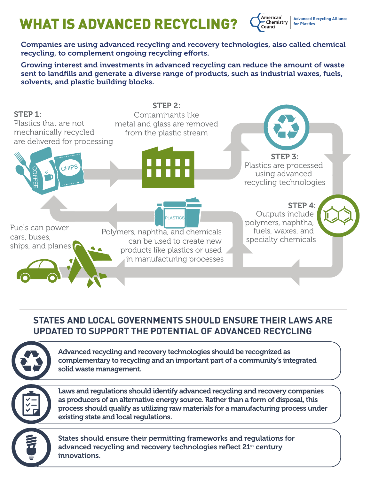## WHAT IS ADVANCED RECYCLING?



Companies are using advanced recycling and recovery technologies, also called chemical recycling, to complement ongoing recycling efforts.

Growing interest and investments in advanced recycling can reduce the amount of waste sent to landfills and generate a diverse range of products, such as industrial waxes, fuels, solvents, and plastic building blocks.



## **STATES AND LOCAL GOVERNMENTS SHOULD ENSURE THEIR LAWS ARE UPDATED TO SUPPORT THE POTENTIAL OF ADVANCED RECYCLING**



Advanced recycling and recovery technologies should be recognized as complementary to recycling and an important part of a community's integrated solid waste management.



Laws and regulations should identify advanced recycling and recovery companies as producers of an alternative energy source. Rather than a form of disposal, this process should qualify as utilizing raw materials for a manufacturing process under existing state and local regulations.



States should ensure their permitting frameworks and regulations for advanced recycling and recovery technologies reflect 21<sup>st</sup> century innovations.